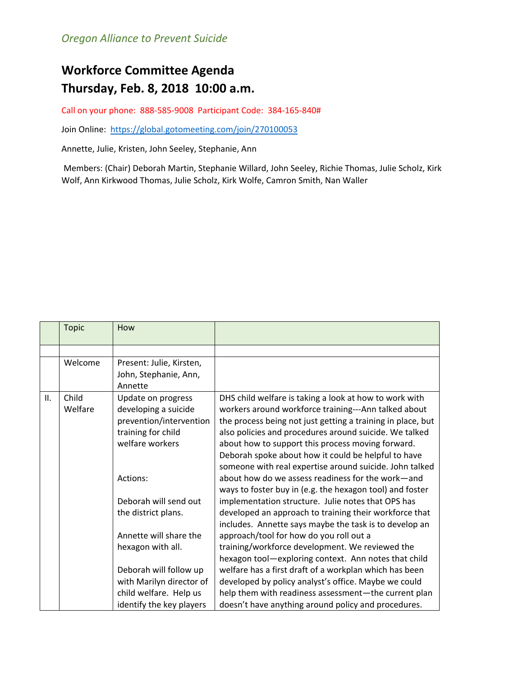## **Workforce Committee Agenda Thursday, Feb. 8, 2018 10:00 a.m.**

Call on your phone: 888-585-9008 Participant Code: 384-165-840#

Join Online: <https://global.gotomeeting.com/join/270100053>

Annette, Julie, Kristen, John Seeley, Stephanie, Ann

Members: (Chair) Deborah Martin, Stephanie Willard, John Seeley, Richie Thomas, Julie Scholz, Kirk Wolf, Ann Kirkwood Thomas, Julie Scholz, Kirk Wolfe, Camron Smith, Nan Waller

|     | <b>Topic</b>     | How                                                                                                            |                                                                                                                                                                                                                                                                                                                                                                                                                |
|-----|------------------|----------------------------------------------------------------------------------------------------------------|----------------------------------------------------------------------------------------------------------------------------------------------------------------------------------------------------------------------------------------------------------------------------------------------------------------------------------------------------------------------------------------------------------------|
|     |                  |                                                                                                                |                                                                                                                                                                                                                                                                                                                                                                                                                |
|     | Welcome          | Present: Julie, Kirsten,<br>John, Stephanie, Ann,<br>Annette                                                   |                                                                                                                                                                                                                                                                                                                                                                                                                |
| II. | Child<br>Welfare | Update on progress<br>developing a suicide<br>prevention/intervention<br>training for child<br>welfare workers | DHS child welfare is taking a look at how to work with<br>workers around workforce training---Ann talked about<br>the process being not just getting a training in place, but<br>also policies and procedures around suicide. We talked<br>about how to support this process moving forward.<br>Deborah spoke about how it could be helpful to have<br>someone with real expertise around suicide. John talked |
|     |                  | Actions:                                                                                                       | about how do we assess readiness for the work-and<br>ways to foster buy in (e.g. the hexagon tool) and foster                                                                                                                                                                                                                                                                                                  |
|     |                  | Deborah will send out                                                                                          | implementation structure. Julie notes that OPS has                                                                                                                                                                                                                                                                                                                                                             |
|     |                  | the district plans.                                                                                            | developed an approach to training their workforce that<br>includes. Annette says maybe the task is to develop an                                                                                                                                                                                                                                                                                               |
|     |                  | Annette will share the<br>hexagon with all.                                                                    | approach/tool for how do you roll out a<br>training/workforce development. We reviewed the<br>hexagon tool-exploring context. Ann notes that child                                                                                                                                                                                                                                                             |
|     |                  | Deborah will follow up                                                                                         | welfare has a first draft of a workplan which has been                                                                                                                                                                                                                                                                                                                                                         |
|     |                  | with Marilyn director of                                                                                       | developed by policy analyst's office. Maybe we could                                                                                                                                                                                                                                                                                                                                                           |
|     |                  | child welfare. Help us                                                                                         | help them with readiness assessment-the current plan                                                                                                                                                                                                                                                                                                                                                           |
|     |                  | identify the key players                                                                                       | doesn't have anything around policy and procedures.                                                                                                                                                                                                                                                                                                                                                            |